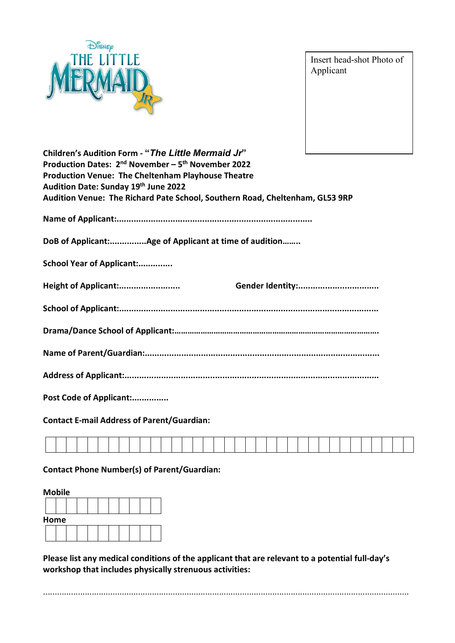

Insert head-shot Photo of Applicant

| Children's Audition Form - "The Little Mermaid Jr"                           |  |
|------------------------------------------------------------------------------|--|
| Production Dates: 2 <sup>nd</sup> November – 5 <sup>th</sup> November 2022   |  |
| <b>Production Venue: The Cheltenham Playhouse Theatre</b>                    |  |
| Audition Date: Sunday 19th June 2022                                         |  |
| Audition Venue: The Richard Pate School, Southern Road, Cheltenham, GL53 9RP |  |
|                                                                              |  |
| DoB of Applicant:Age of Applicant at time of audition                        |  |
| School Year of Applicant:                                                    |  |
| Height of Applicant:                                                         |  |
|                                                                              |  |
|                                                                              |  |
|                                                                              |  |
|                                                                              |  |
| Post Code of Applicant:                                                      |  |

**Contact E-mail Address of Parent/Guardian:**

**Contact Phone Number(s) of Parent/Guardian:**

| <b>Mobile</b> |  |  |  |  |  |  |  |  |  |  |  |  |  |  |
|---------------|--|--|--|--|--|--|--|--|--|--|--|--|--|--|
|               |  |  |  |  |  |  |  |  |  |  |  |  |  |  |
| Home          |  |  |  |  |  |  |  |  |  |  |  |  |  |  |
|               |  |  |  |  |  |  |  |  |  |  |  |  |  |  |

**Please list any medical conditions of the applicant that are relevant to a potential full-day's workshop that includes physically strenuous activities:**

..............................................................................................................................................................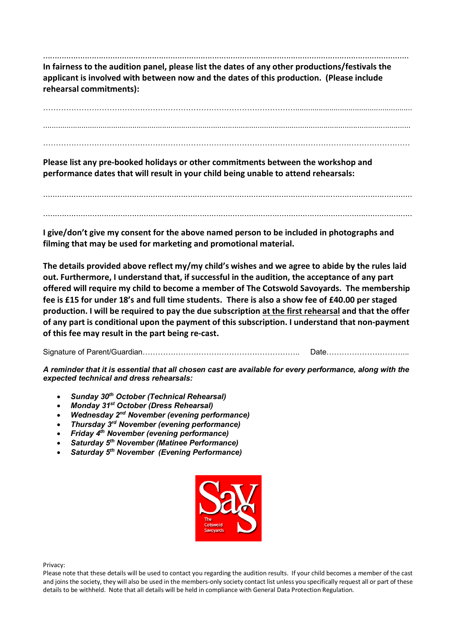.............................................................................................................................................................. **In fairness to the audition panel, please list the dates of any other productions/festivals the applicant is involved with between now and the dates of this production. (Please include rehearsal commitments):**

………………………………………………………………………………………....................................................... .............................................................................................................................................................................

………………………………………………………………………………………………………………………………

**Please list any pre-booked holidays or other commitments between the workshop and performance dates that will result in your child being unable to attend rehearsals:**

.............................................................................................................................................................. ..............................................................................................................................................................

**I give/don't give my consent for the above named person to be included in photographs and filming that may be used for marketing and promotional material.** 

**The details provided above reflect my/my child's wishes and we agree to abide by the rules laid out. Furthermore, I understand that, if successful in the audition, the acceptance of any part offered will require my child to become a member of The Cotswold Savoyards. The membership fee is £15 for under 18's and full time students. There is also a show fee of £40.00 per staged production. I will be required to pay the due subscription at the first rehearsal and that the offer of any part is conditional upon the payment of this subscription. I understand that non-payment of this fee may result in the part being re-cast.** 

Signature of Parent/Guardian…………………………………………………….. Date…………………………...

*A reminder that it is essential that all chosen cast are available for every performance, along with the expected technical and dress rehearsals:*

- *Sunday 30th October (Technical Rehearsal)*
- *Monday 31st October (Dress Rehearsal)*
- *Wednesday 2nd November (evening performance)*
- *Thursday 3rd November (evening performance)*
- *Friday 4th November (evening performance)*
- *Saturday 5th November (Matinee Performance)*
- *Saturday 5th November (Evening Performance)*



Privacy:

Please note that these details will be used to contact you regarding the audition results. If your child becomes a member of the cast and joins the society, they will also be used in the members-only society contact list unless you specifically request all or part of these details to be withheld. Note that all details will be held in compliance with General Data Protection Regulation.